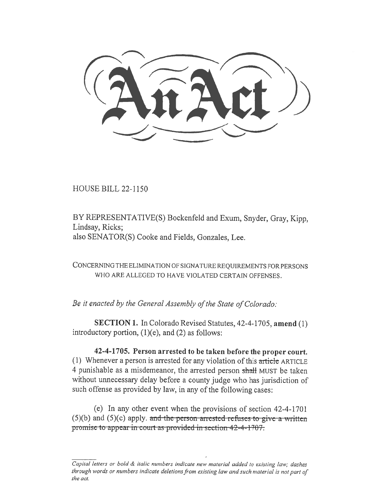HOUSE BILL 22-1150

BY REPRESENTATIVE(S) Bockenfeld and Exum, Snyder, Gray, Kipp, Lindsay, Ricks; also SENATOR(S) Cooke and Fields, Gonzales, Lee.

CONCERNING THE ELIMINATION OF SIGNATURE REQUIREMENTS FOR PERSONS WHO ARE ALLEGED TO HAVE VIOLATED CERTAIN OFFENSES.

Be it enacted by the General Assembly of the State of Colorado:

SECTION 1. In Colorado Revised Statutes, 42-4-1705, amend (1) introductory portion, (1)(e), and (2) as follows:

42-4-1705. Person arrested to be taken before the proper court. (1) Whenever a person is arrested for any violation of this article ARTICLE 4 punishable as a misdemeanor, the arrested person shall MUST be taken without unnecessary delay before a county judge who has jurisdiction of such offense as provided by law, in any of the following cases:

(e) In any other event when the provisions of section 42-4-1701  $(5)(b)$  and  $(5)(c)$  apply. and the person arrested refuses to give a written promise to appear in court as provided in section 42-4-1707.

Capital letters or bold & italic numbers indicate new material added to existing law; dashes through words or numbers indicate deletions from existing law and such material is not part of the act.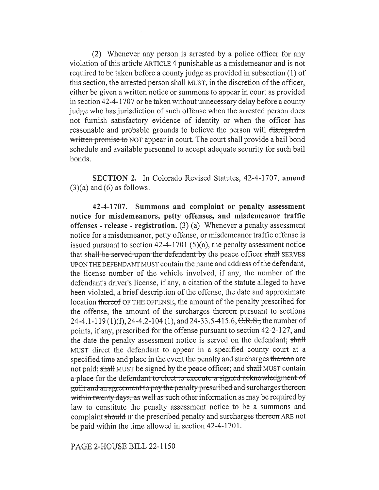(2) Whenever any person is arrested by a police officer for any violation of this article ARTICLE 4 punishable as a misdemeanor and is not required to be taken before a county judge as provided in subsection (1) of this section, the arrested person shall MUST, in the discretion of the officer, either be given a written notice or summons to appear in court as provided in section 42-4-1707 or be taken without unnecessary delay before a county judge who has jurisdiction of such offense when the arrested person does not furnish satisfactory evidence of identity or when the officer has reasonable and probable grounds to believe the person will disregand a written promise to NOT appear in court. The court shall provide a bail bond schedule and available personnel to accept adequate security for such bail bonds.

SECTION 2. In Colorado Revised Statutes, 42-4-1707, amend  $(3)(a)$  and  $(6)$  as follows:

42-4-1707. Summons and complaint or penalty assessment notice for misdemeanors, petty offenses, and misdemeanor traffic offenses - release - registration.  $(3)$  (a) Whenever a penalty assessment notice for a misdemeanor, petty offense, or misdemeanor traffic offense is issued pursuant to section 42-4-1701 (5)(a), the penalty assessment notice that shall be served upon the defendant by the peace officer shall SERVES UPON THE DEFENDANT MUST contain the name and address of the defendant, the license number of the vehicle involved, if any, the number of the defendant's driver's license, if any, a citation of the statute alleged to have been violated, a brief description of the offense, the date and approximate location thereo€ OF THE OFFENSE, the amount of the penalty prescribed for the offense, the amount of the surcharges thereon pursuant to sections 24-4.1-119 (1)(f), 24-4.2-104 (1), and 24-33.5-415.6, C.R.S., the number of points, if any, prescribed for the offense pursuant to section 42-2-127, and the date the penalty assessment notice is served on the defendant; shall MUST direct the defendant to appear in a specified county court at a specified time and place in the event the penalty and surcharges thereon are not paid; shall MUST be signed by the peace officer; and shall MUST contain a-place-for the-defendant-to-efect-to-execute-a-signed-acknowledgment-ofguilt and an agreement to pay the penalty prescribed and surcharges thereon within twenty days, as well as such other information as may be required by law to constitute the penalty assessment notice to be a summons and complaint should IF the prescribed penalty and surcharges thereon ARE not be paid within the time allowed in section 42-4-1701.

PAGE 2-HOUSE BILL 22-1150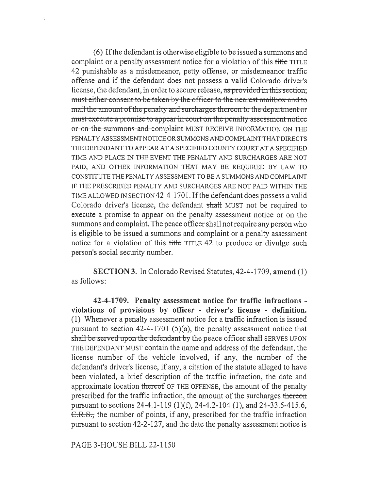(6) If the defendant is otherwise eligible to be issued a summons and complaint or a penalty assessment notice for a violation of this title TITLE 42 punishable as a misdemeanor, petty offense, or misdemeanor traffic offense and if the defendant does not possess a valid Colorado driver's license, the defendant, in order to secure release, as provided in this section, must either-consent to be taken by the officer to the nearest-mailbox-and-to or on the summons and complaint MUST RECEIVE INFORMATION ON THE mail the amount of the penalty-and surcharges thereon to the department or must-execute a promise to appear in court on the penalty-assessment notice PENALTY ASSESSMENT NOTICE OR SUMMONS AND COMPLAINT THAT DIRECTS THE DEFENDANT TO APPEAR AT A SPECIFIED COUNTY COURT AT A SPECIFIED TIME AND PLACE IN THE EVENT THE PENALTY AND SURCHARGES ARE NOT PAID, AND OTHER INFORMATION THAT MAY BE REQUIRED BY LAW TO CONSTITUTE THE PENALTY ASSESSMENT TO BE A SUMMONS AND COMPLAINT IF THE PRESCRIBED PENALTY AND SURCHARGES ARE NOT PAID WITHIN THE TIME ALLOWED IN SECTION 42-4-1701.1f the defendant does possess a valid Colorado driver's license, the defendant shall MUST not be required to execute a promise to appear on the penalty assessment notice or on the summons and complaint. The peace officer shall not require any person who is eligible to be issued a summons and complaint or a penalty assessment notice for a violation of this title TITLE 42 to produce or divulge such person's social security number.

SECTION 3. In Colorado Revised Statutes, 42-4-1709, amend (1) as follows:

42-4-1709. Penalty assessment notice for traffic infractions violations of provisions by officer - driver's license - definition. (1) Whenever a penalty assessment notice for a traffic infraction is issued pursuant to section 42-4-1701 (5)(a), the penalty assessment notice that shall be served upon the defendant by the peace officer shall SERVES UPON THE DEFENDANT MUST contain the name and address of the defendant, the license number of the vehicle involved, if any, the number of the defendant's driver's license, if any, a citation of the statute alleged to have been violated, a brief description of the traffic infraction, the date and approximate location thereof OF THE OFFENSE, the amount of the penalty prescribed for the traffic infraction, the amount of the surcharges thereon pursuant to sections 24-4.1-119 (1)(f), 24-4.2-104 (1), and 24-33.5-415.6, C.R.S., the number of points, if any, prescribed for the traffic infraction pursuant to section 42-2-127, and the date the penalty assessment notice is

PAGE 3-HOUSE BILL 22-1150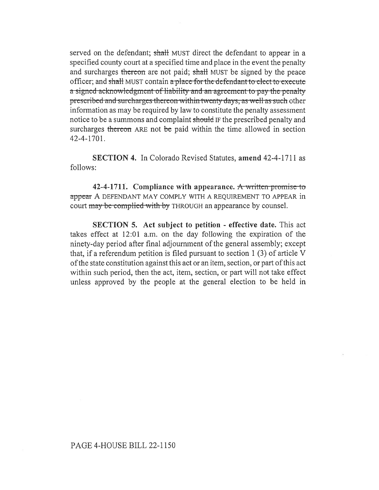served on the defendant; shall MUST direct the defendant to appear in a specified county court at a specified time and place in the event the penalty and surcharges thereon are not paid; shall MUST be signed by the peace officer; and shall MUST contain a place for the defendant to elect to execute a-signed-acknowledgment-of-liability and an agreement-to-pay the-penalty prescribed and surcharges thereon within twenty days, as well as such other information as may be required by law to constitute the penalty assessment notice to be a summons and complaint should IF the prescribed penalty and surcharges thereon ARE not be paid within the time allowed in section 42-4-1701.

SECTION 4. In Colorado Revised Statutes, amend 42-4-1711 as follows:

42-4-1711. Compliance with appearance. A written promise to appear A DEFENDANT MAY COMPLY WITH A REQUIREMENT TO APPEAR in court may be complied with by THROUGH an appearance by counsel.

SECTION 5. Act subject to petition - effective date. This act takes effect at 12:01 a.m. on the day following the expiration of the ninety-day period after final adjournment of the general assembly; except that, if a referendum petition is filed pursuant to section 1 (3) of article V of the state constitution against this act or an item, section, or part of this act within such period, then the act, item, section, or part will not take effect unless approved by the people at the general election to be held in